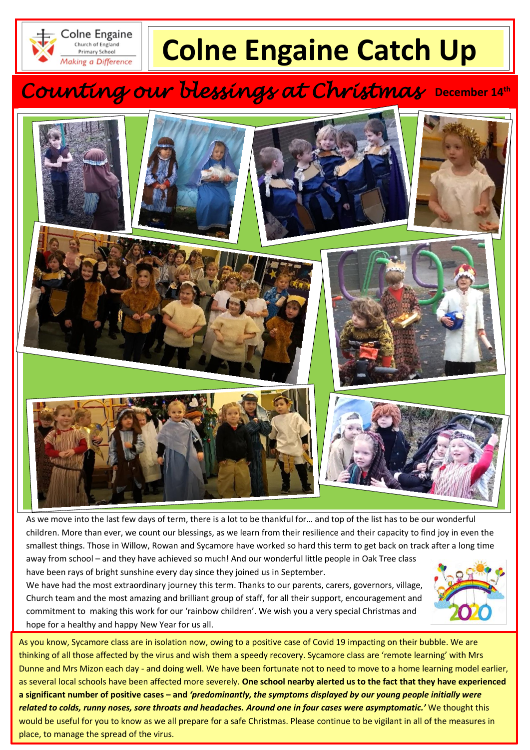

# **Colne Engaine Catch Up**

## *Counting our blessings at Christmas* **December 14th**



As we move into the last few days of term, there is a lot to be thankful for… and top of the list has to be our wonderful children. More than ever, we count our blessings, as we learn from their resilience and their capacity to find joy in even the smallest things. Those in Willow, Rowan and Sycamore have worked so hard this term to get back on track after a long time away from school – and they have achieved so much! And our wonderful little people in Oak Tree class

have been rays of bright sunshine every day since they joined us in September.

We have had the most extraordinary journey this term. Thanks to our parents, carers, governors, village, Church team and the most amazing and brilliant group of staff, for all their support, encouragement and commitment to making this work for our 'rainbow children'. We wish you a very special Christmas and hope for a healthy and happy New Year for us all.



 Dunne and Mrs Mizon each day - and doing well. We have been fortunate not to need to move to a home learning model earlier,  **a significant number of positive cases – and** *'predominantly, the symptoms displayed by our young people initially were*  would be useful for you to know as we all prepare for a safe Christmas. Please continue to be vigilant in all of the measures in As you know, Sycamore class are in isolation now, owing to a positive case of Covid 19 impacting on their bubble. We are thinking of all those affected by the virus and wish them a speedy recovery. Sycamore class are 'remote learning' with Mrs as several local schools have been affected more severely. **One school nearby alerted us to the fact that they have experienced**  *related to colds, runny noses, sore throats and headaches. Around one in four cases were asymptomatic.'* We thought this place, to manage the spread of the virus.

*Christmas Nativity –* Providing we manage to keep our bubbles in school, we are planning our Nativity for the